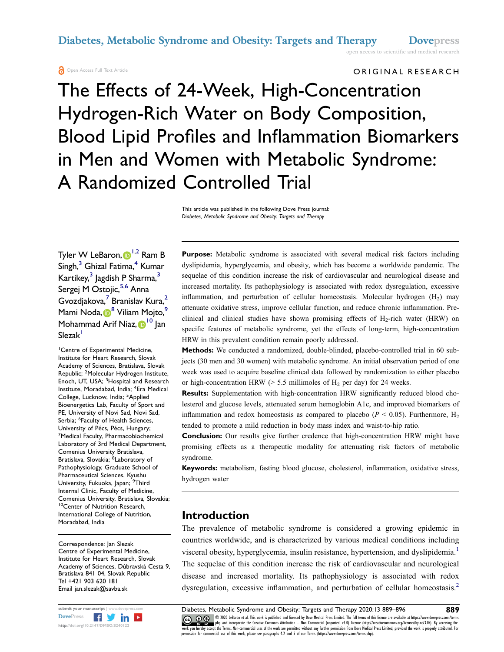ORIGINAL RESEARCH

open access to scientific and medical research

# The Effects of 24-Week, High-Concentration Hydrogen-Rich Water on Body Composition, Blood Lipid Profiles and Inflammation Biomarkers in Men and Women with Metabolic Syndrome: A Randomized Controlled Trial

This article was published in the following Dove Press journal: Diabetes, Metabolic Syndrome and Obesity: Targets and Therapy

Tyler W LeBaron[,](http://orcid.org/0000-0001-9164-6728) D<sup>[1](#page-0-0)[,2](#page-0-1)</sup> Ram B  $Singh,$ <sup>[3](#page-0-2)</sup> Ghizal Fatima,<sup>4</sup> Kumar Kartikey,<sup>[3](#page-0-2)</sup> Jagdish P Sharma,<sup>3</sup> Sergej M Ostojic, [5,](#page-0-4)[6](#page-0-5) Anna Gvozdjakova,<sup>[7](#page-0-6)</sup> Branislav Kura,<sup>[2](#page-0-1)</sup> Mami Noda[,](http://orcid.org/0000-0002-9674-069X) <sup>[8](#page-0-7)</sup> Viliam Mojto,<sup>9</sup> Mohammad Arif Niaz[,](http://orcid.org/0000-0003-1852-4606) D<sup>[10](#page-0-9)</sup> Jan Slezak<sup>1</sup>

<span id="page-0-6"></span><span id="page-0-5"></span><span id="page-0-4"></span><span id="page-0-3"></span><span id="page-0-2"></span><span id="page-0-1"></span><span id="page-0-0"></span>1 Centre of Experimental Medicine, Institute for Heart Research, Slovak Academy of Sciences, Bratislava, Slovak Republic; <sup>2</sup>Molecular Hydrogen Institute, Enoch, UT, USA; <sup>3</sup>Hospital and Research Institute, Moradabad, India; <sup>4</sup> Era Medical College, Lucknow, India; <sup>5</sup>Applied Bioenergetics Lab, Faculty of Sport and PE, University of Novi Sad, Novi Sad, Serbia; <sup>6</sup>Faculty of Health Sciences, University of Pécs, Pécs, Hungary; 7 Medical Faculty, Pharmacobiochemical Laboratory of 3rd Medical Department, Comenius University Bratislava, Bratislava, Slovakia; <sup>8</sup>Laboratory of Pathophysiology, Graduate School of Pharmaceutical Sciences, Kyushu University, Fukuoka, Japan; <sup>9</sup>Third Internal Clinic, Faculty of Medicine, Comenius University, Bratislava, Slovakia; 10Center of Nutrition Research, International College of Nutrition, Moradabad, India

<span id="page-0-9"></span><span id="page-0-8"></span><span id="page-0-7"></span>Correspondence: Jan Slezak Centre of Experimental Medicine, Institute for Heart Research, Slovak Academy of Sciences, Dúbravská Cesta 9, Bratislava 841 04, Slovak Republic Tel +421 903 620 181 Email jan.slezak@savba.sk



Purpose: Metabolic syndrome is associated with several medical risk factors including dyslipidemia, hyperglycemia, and obesity, which has become a worldwide pandemic. The sequelae of this condition increase the risk of cardiovascular and neurological disease and increased mortality. Its pathophysiology is associated with redox dysregulation, excessive inflammation, and perturbation of cellular homeostasis. Molecular hydrogen  $(H_2)$  may attenuate oxidative stress, improve cellular function, and reduce chronic inflammation. Preclinical and clinical studies have shown promising effects of  $H_2$ -rich water (HRW) on specific features of metabolic syndrome, yet the effects of long-term, high-concentration HRW in this prevalent condition remain poorly addressed.

Methods: We conducted a randomized, double-blinded, placebo-controlled trial in 60 subjects (30 men and 30 women) with metabolic syndrome. An initial observation period of one week was used to acquire baseline clinical data followed by randomization to either placebo or high-concentration HRW ( $> 5.5$  millimoles of H<sub>2</sub> per day) for 24 weeks.

Results: Supplementation with high-concentration HRW significantly reduced blood cholesterol and glucose levels, attenuated serum hemoglobin A1c, and improved biomarkers of inflammation and redox homeostasis as compared to placebo ( $P < 0.05$ ). Furthermore, H<sub>2</sub> tended to promote a mild reduction in body mass index and waist-to-hip ratio.

Conclusion: Our results give further credence that high-concentration HRW might have promising effects as a therapeutic modality for attenuating risk factors of metabolic syndrome.

Keywords: metabolism, fasting blood glucose, cholesterol, inflammation, oxidative stress, hydrogen water

### Introduction

<span id="page-0-11"></span><span id="page-0-10"></span>The prevalence of metabolic syndrome is considered a growing epidemic in countries worldwide, and is characterized by various medical conditions including visceral obesity, hyperglycemia, insulin resistance, hypertension, and dyslipidemia.<sup>[1](#page-6-0)</sup> The sequelae of this condition increase the risk of cardiovascular and neurological disease and increased mortality. Its pathophysiology is associated with redox dysregulation, excessive inflammation, and perturbation of cellular homeostasis.<sup>[2](#page-6-1)</sup>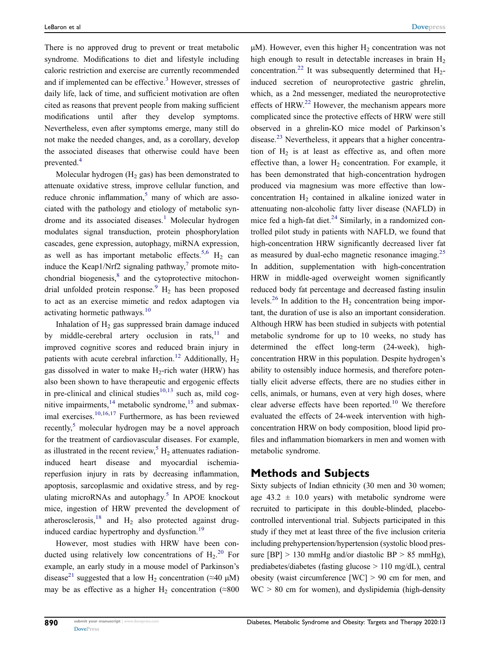<span id="page-1-0"></span>There is no approved drug to prevent or treat metabolic syndrome. Modifications to diet and lifestyle including caloric restriction and exercise are currently recommended and if implemented can be effective.<sup>3</sup> However, stresses of daily life, lack of time, and sufficient motivation are often cited as reasons that prevent people from making sufficient modifications until after they develop symptoms. Nevertheless, even after symptoms emerge, many still do not make the needed changes, and, as a corollary, develop the associated diseases that otherwise could have been prevented.[4](#page-6-3)

<span id="page-1-1"></span>Molecular hydrogen  $(H_2$  gas) has been demonstrated to attenuate oxidative stress, improve cellular function, and reduce chronic inflammation, $5$  many of which are associated with the pathology and etiology of metabolic syn-drome and its associated diseases.<sup>[1](#page-6-0)</sup> Molecular hydrogen modulates signal transduction, protein phosphorylation cascades, gene expression, autophagy, miRNA expression, as well as has important metabolic effects.<sup>[5](#page-6-4)[,6](#page-6-5)</sup> H<sub>2</sub> can induce the Keap1/Nrf2 signaling pathway, $\frac{7}{7}$  $\frac{7}{7}$  $\frac{7}{7}$  promote mitochondrial biogenesis, $8$  and the cytoprotective mitochon-drial unfolded protein response.<sup>[9](#page-6-8)</sup>  $H_2$  has been proposed to act as an exercise mimetic and redox adaptogen via activating hormetic pathways.<sup>[10](#page-6-9)</sup>

<span id="page-1-12"></span><span id="page-1-11"></span><span id="page-1-10"></span><span id="page-1-9"></span><span id="page-1-8"></span><span id="page-1-6"></span><span id="page-1-5"></span><span id="page-1-4"></span><span id="page-1-3"></span>Inhalation of  $H_2$  gas suppressed brain damage induced by middle-cerebral artery occlusion in rats, $11$  and improved cognitive scores and reduced brain injury in patients with acute cerebral infarction.<sup>[12](#page-6-11)</sup> Additionally,  $H_2$ gas dissolved in water to make  $H_2$ -rich water (HRW) has also been shown to have therapeutic and ergogenic effects in pre-clinical and clinical studies $10,13$  $10,13$  such as, mild cognitive impairments, $14$  metabolic syndrome, $15$  and submaximal exercises. $10,16,17$  $10,16,17$  $10,16,17$  Furthermore, as has been reviewed recently, $5$  molecular hydrogen may be a novel approach for the treatment of cardiovascular diseases. For example, as illustrated in the recent review,<sup>[5](#page-6-4)</sup> H<sub>2</sub> attenuates radiationinduced heart disease and myocardial ischemiareperfusion injury in rats by decreasing inflammation, apoptosis, sarcoplasmic and oxidative stress, and by regulating microRNAs and autophagy. $5$  In APOE knockout mice, ingestion of HRW prevented the development of atherosclerosis, $18$  and  $H_2$  also protected against drug-induced cardiac hypertrophy and dysfunction.<sup>[19](#page-6-18)</sup>

<span id="page-1-16"></span><span id="page-1-15"></span><span id="page-1-14"></span><span id="page-1-13"></span><span id="page-1-2"></span>However, most studies with HRW have been conducted using relatively low concentrations of  $H_2$ <sup>[20](#page-6-19)</sup> For example, an early study in a mouse model of Parkinson's disease<sup>[21](#page-6-20)</sup> suggested that a low H<sub>2</sub> concentration (≈40 µM) may be as effective as a higher H<sub>2</sub> concentration (≈800

<span id="page-1-20"></span><span id="page-1-19"></span><span id="page-1-18"></span><span id="page-1-17"></span> $\mu$ M). However, even this higher H<sub>2</sub> concentration was not high enough to result in detectable increases in brain  $H_2$ concentration.<sup>[22](#page-6-21)</sup> It was subsequently determined that  $H_2$ induced secretion of neuroprotective gastric ghrelin, which, as a 2nd messenger, mediated the neuroprotective effects of HRW.<sup>[22](#page-6-21)</sup> However, the mechanism appears more complicated since the protective effects of HRW were still observed in a ghrelin-KO mice model of Parkinson's disease.<sup>[23](#page-6-22)</sup> Nevertheless, it appears that a higher concentration of  $H<sub>2</sub>$  is at least as effective as, and often more effective than, a lower  $H_2$  concentration. For example, it has been demonstrated that high-concentration hydrogen produced via magnesium was more effective than lowconcentration  $H<sub>2</sub>$  contained in alkaline ionized water in attenuating non-alcoholic fatty liver disease (NAFLD) in mice fed a high-fat diet. $^{24}$  $^{24}$  $^{24}$  Similarly, in a randomized controlled pilot study in patients with NAFLD, we found that high-concentration HRW significantly decreased liver fat as measured by dual-echo magnetic resonance imaging.<sup>[25](#page-6-24)</sup> In addition, supplementation with high-concentration HRW in middle-aged overweight women significantly reduced body fat percentage and decreased fasting insulin levels.<sup>[26](#page-6-25)</sup> In addition to the  $H_2$  concentration being important, the duration of use is also an important consideration. Although HRW has been studied in subjects with potential metabolic syndrome for up to 10 weeks, no study has determined the effect long-term (24-week), highconcentration HRW in this population. Despite hydrogen's ability to ostensibly induce hormesis, and therefore potentially elicit adverse effects, there are no studies either in cells, animals, or humans, even at very high doses, where clear adverse effects have been reported.<sup>[10](#page-6-9)</sup> We therefore evaluated the effects of 24-week intervention with highconcentration HRW on body composition, blood lipid profiles and inflammation biomarkers in men and women with metabolic syndrome.

#### <span id="page-1-21"></span><span id="page-1-7"></span>Methods and Subjects

Sixty subjects of Indian ethnicity (30 men and 30 women; age  $43.2 \pm 10.0$  years) with metabolic syndrome were recruited to participate in this double-blinded, placebocontrolled interventional trial. Subjects participated in this study if they met at least three of the five inclusion criteria including prehypertension/hypertension (systolic blood pressure  $[BP] > 130$  mmHg and/or diastolic  $BP > 85$  mmHg), prediabetes/diabetes (fasting glucose > 110 mg/dL), central obesity (waist circumference  $[WC] > 90$  cm for men, and WC > 80 cm for women), and dyslipidemia (high-density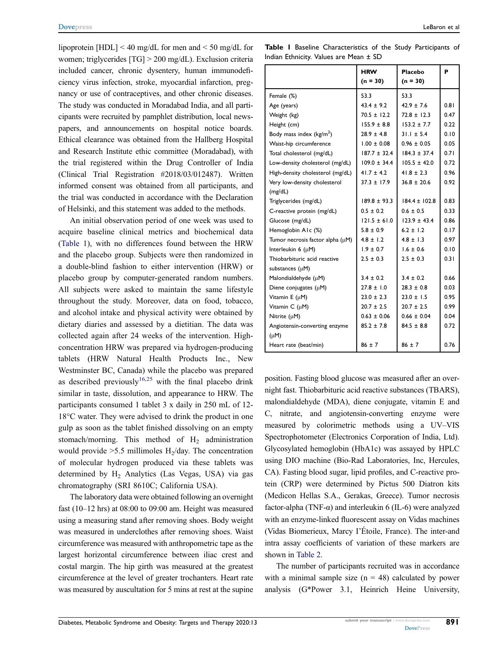lipoprotein [HDL] < 40 mg/dL for men and < 50 mg/dL for women; triglycerides [TG] > 200 mg/dL). Exclusion criteria included cancer, chronic dysentery, human immunodeficiency virus infection, stroke, myocardial infarction, pregnancy or use of contraceptives, and other chronic diseases. The study was conducted in Moradabad India, and all participants were recruited by pamphlet distribution, local newspapers, and announcements on hospital notice boards. Ethical clearance was obtained from the Hallberg Hospital and Research Institute ethic committee (Moradabad), with the trial registered within the Drug Controller of India (Clinical Trial Registration #2018/03/012487). Written informed consent was obtained from all participants, and the trial was conducted in accordance with the Declaration of Helsinki, and this statement was added to the methods.

An initial observation period of one week was used to acquire baseline clinical metrics and biochemical data [\(Table 1](#page-2-0)), with no differences found between the HRW and the placebo group. Subjects were then randomized in a double-blind fashion to either intervention (HRW) or placebo group by computer-generated random numbers. All subjects were asked to maintain the same lifestyle throughout the study. Moreover, data on food, tobacco, and alcohol intake and physical activity were obtained by dietary diaries and assessed by a dietitian. The data was collected again after 24 weeks of the intervention. Highconcentration HRW was prepared via hydrogen-producing tablets (HRW Natural Health Products Inc., New Westminster BC, Canada) while the placebo was prepared as described previously<sup>[16](#page-6-15)[,25](#page-6-24)</sup> with the final placebo drink similar in taste, dissolution, and appearance to HRW. The participants consumed 1 tablet 3 x daily in 250 mL of 12- 18°C water. They were advised to drink the product in one gulp as soon as the tablet finished dissolving on an empty stomach/morning. This method of  $H_2$  administration would provide  $>5.5$  millimoles H<sub>2</sub>/day. The concentration of molecular hydrogen produced via these tablets was determined by  $H_2$  Analytics (Las Vegas, USA) via gas chromatography (SRI 8610C; California USA).

The laboratory data were obtained following an overnight fast (10–12 hrs) at 08:00 to 09:00 am. Height was measured using a measuring stand after removing shoes. Body weight was measured in underclothes after removing shoes. Waist circumference was measured with anthropometric tape as the largest horizontal circumference between iliac crest and costal margin. The hip girth was measured at the greatest circumference at the level of greater trochanters. Heart rate was measured by auscultation for 5 mins at rest at the supine

<span id="page-2-0"></span>Table I Baseline Characteristics of the Study Participants of Indian Ethnicity. Values are Mean ± SD

|                                  | <b>HRW</b><br>$(n = 30)$ | Placebo<br>$(n = 30)$ | P    |
|----------------------------------|--------------------------|-----------------------|------|
| Female (%)                       | 53.3                     | 53.3                  |      |
| Age (years)                      | $43.4 \pm 9.2$           | $42.9 \pm 7.6$        | 0.81 |
| Weight (kg)                      | $70.5 \pm 12.2$          | $72.8 \pm 12.3$       | 0.47 |
| Height (cm)                      | $155.9 \pm 8.8$          | $153.2 \pm 7.7$       | 0.22 |
| Body mass index ( $kg/m2$ )      | $28.9 \pm 4.8$           | $31.1 \pm 5.4$        | 0.10 |
| Waist-hip circumference          | $1.00 \pm 0.08$          | $0.96 \pm 0.05$       | 0.05 |
| Total cholesterol (mg/dL)        | $187.7 \pm 32.4$         | $184.3 \pm 37.4$      | 0.71 |
| Low-density cholesterol (mg/dL)  | $109.0 \pm 34.4$         | $105.5 \pm 42.0$      | 0.72 |
| High-density cholesterol (mg/dL) | $41.7 \pm 4.2$           | $41.8 \pm 2.3$        | 0.96 |
| Very low-density cholesterol     | $37.3 \pm 17.9$          | $36.8 \pm 20.6$       | 0.92 |
| (mg/dL)                          |                          |                       |      |
| Triglycerides (mg/dL)            | $189.8 + 93.3$           | $1844 + 1028$         | 0.83 |
| C-reactive protein (mg/dL)       | $0.5 \pm 0.2$            | $0.6 \pm 0.5$         | 0.33 |
| Glucose (mg/dL)                  | $121.5 \pm 61.0$         | $123.9 \pm 43.4$      | 0.86 |
| Hemoglobin A1c (%)               | $5.8 \pm 0.9$            | $6.2 \pm 1.2$         | 0.17 |
| Tumor necrosis factor alpha (µM) | $4.8 \pm 1.2$            | $4.8 \pm 1.3$         | 0.97 |
| Interleukin 6 $(\mu M)$          | $1.9 \pm 0.7$            | $1.6 \pm 0.6$         | 0.10 |
| Thiobarbituric acid reactive     | $2.5 \pm 0.3$            | $2.5 \pm 0.3$         | 0.31 |
| substances (µM)                  |                          |                       |      |
| Malondialdehyde (µM)             | $3.4 \pm 0.2$            | $3.4 \pm 0.2$         | 0.66 |
| Diene conjugates (µM)            | $27.8 \pm 1.0$           | $28.3 \pm 0.8$        | 0.03 |
| Vitamin E (µM)                   | $23.0 \pm 2.3$           | $23.0 \pm 1.5$        | 0.95 |
| Vitamin C (µM)                   | $20.7 \pm 2.5$           | $20.7 \pm 2.5$        | 0.99 |
| Nitrite (µM)                     | $0.63 \pm 0.06$          | $0.66 \pm 0.04$       | 0.04 |
| Angiotensin-converting enzyme    | $85.2 \pm 7.8$           | $84.5 \pm 8.8$        | 0.72 |
| $(\mu M)$                        |                          |                       |      |
| Heart rate (beat/min)            | $86 \pm 7$               | $86 \pm 7$            | 0.76 |

position. Fasting blood glucose was measured after an overnight fast. Thiobarbituric acid reactive substances (TBARS), malondialdehyde (MDA), diene conjugate, vitamin E and C, nitrate, and angiotensin-converting enzyme were measured by colorimetric methods using a UV–VIS Spectrophotometer (Electronics Corporation of India, Ltd). Glycosylated hemoglobin (HbA1c) was assayed by HPLC using DIO machine (Bio-Rad Laboratories, Inc, Hercules, CA). Fasting blood sugar, lipid profiles, and C-reactive protein (CRP) were determined by Pictus 500 Diatron kits (Medicon Hellas S.A., Gerakas, Greece). Tumor necrosis factor-alpha (TNF- $\alpha$ ) and interleukin 6 (IL-6) were analyzed with an enzyme-linked fluorescent assay on Vidas machines (Vidas Biomerieux, Marcy I'Étoile, France). The inter-and intra assay coefficients of variation of these markers are shown in [Table 2.](#page-3-0)

The number of participants recruited was in accordance with a minimal sample size  $(n = 48)$  calculated by power analysis (G\*Power 3.1, Heinrich Heine University,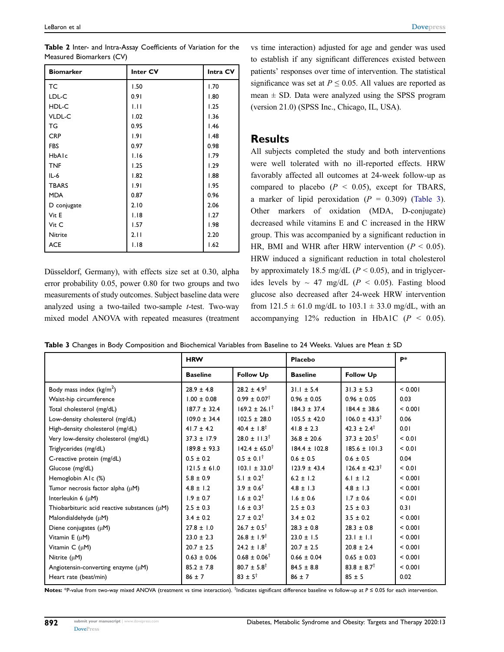<span id="page-3-0"></span>

| Table 2 Inter- and Intra-Assay Coefficients of Variation for the |  |  |  |
|------------------------------------------------------------------|--|--|--|
| Measured Biomarkers (CV)                                         |  |  |  |

| <b>Biomarker</b> | Inter CV | Intra CV |
|------------------|----------|----------|
| <b>TC</b>        | 1.50     | 1.70     |
| LDL-C            | 0.91     | 1.80     |
| HDL-C            | 1.11     | 1.25     |
| VLDL-C           | 1.02     | 1.36     |
| TG               | 0.95     | 1.46     |
| <b>CRP</b>       | 1.91     | 1.48     |
| <b>FBS</b>       | 0.97     | 0.98     |
| HbAlc            | 1.16     | 1.79     |
| <b>TNF</b>       | 1.25     | 1.29     |
| $IL-6$           | 1.82     | 1.88     |
| <b>TBARS</b>     | 1.91     | 1.95     |
| <b>MDA</b>       | 0.87     | 0.96     |
| D conjugate      | 2.10     | 2.06     |
| Vit E            | 1.18     | 1.27     |
| Vit C            | 1.57     | 1.98     |
| Nitrite          | 2.11     | 2.20     |
| <b>ACE</b>       | 1.18     | 1.62     |

Düsseldorf, Germany), with effects size set at 0.30, alpha error probability 0.05, power 0.80 for two groups and two measurements of study outcomes. Subject baseline data were analyzed using a two-tailed two-sample  $t$ -test. Two-way mixed model ANOVA with repeated measures (treatment vs time interaction) adjusted for age and gender was used to establish if any significant differences existed between patients' responses over time of intervention. The statistical significance was set at  $P \le 0.05$ . All values are reported as mean  $\pm$  SD. Data were analyzed using the SPSS program (version 21.0) (SPSS Inc., Chicago, IL, USA).

#### Results

All subjects completed the study and both interventions were well tolerated with no ill-reported effects. HRW favorably affected all outcomes at 24-week follow-up as compared to placebo ( $P < 0.05$ ), except for TBARS, a marker of lipid peroxidation ( $P = 0.309$ ) ([Table 3\)](#page-3-1). Other markers of oxidation (MDA, D-conjugate) decreased while vitamins E and C increased in the HRW group. This was accompanied by a significant reduction in HR, BMI and WHR after HRW intervention ( $P < 0.05$ ). HRW induced a significant reduction in total cholesterol by approximately 18.5 mg/dL ( $P < 0.05$ ), and in triglycerides levels by  $\sim$  47 mg/dL ( $P \le 0.05$ ). Fasting blood glucose also decreased after 24-week HRW intervention from  $121.5 \pm 61.0$  mg/dL to  $103.1 \pm 33.0$  mg/dL, with an accompanying 12% reduction in HbA1C  $(P < 0.05)$ .

|                                                   | <b>HRW</b>       |                            | Placebo           |                            | P*      |
|---------------------------------------------------|------------------|----------------------------|-------------------|----------------------------|---------|
|                                                   | <b>Baseline</b>  | <b>Follow Up</b>           | <b>Baseline</b>   | <b>Follow Up</b>           |         |
| Body mass index $(kg/m2)$                         | $28.9 \pm 4.8$   | $28.2 \pm 4.9^{\dagger}$   | $31.1 \pm 5.4$    | $31.3 \pm 5.3$             | < 0.001 |
| Waist-hip circumference                           | $1.00 \pm 0.08$  | $0.99 \pm 0.07^{\dagger}$  | $0.96 \pm 0.05$   | $0.96 \pm 0.05$            | 0.03    |
| Total cholesterol (mg/dL)                         | $187.7 \pm 32.4$ | $169.2 \pm 26.1^{\dagger}$ | $184.3 \pm 37.4$  | $184.4 \pm 38.6$           | < 0.001 |
| Low-density cholesterol (mg/dL)                   | $109.0 \pm 34.4$ | $102.5 \pm 28.0$           | $105.5 \pm 42.0$  | $106.0 \pm 43.3^{\dagger}$ | 0.06    |
| High-density cholesterol (mg/dL)                  | $41.7 \pm 4.2$   | $40.4 \pm 1.8^{\dagger}$   | $41.8 \pm 2.3$    | $42.3 \pm 2.4^{\dagger}$   | 0.01    |
| Very low-density cholesterol (mg/dL)              | $37.3 \pm 17.9$  | $28.0 \pm 11.3^{\dagger}$  | $36.8 \pm 20.6$   | $37.3 \pm 20.5^{\dagger}$  | < 0.01  |
| Triglycerides (mg/dL)                             | $189.8 \pm 93.3$ | $142.4 \pm 65.0^{\dagger}$ | $184.4 \pm 102.8$ | $185.6 \pm 101.3$          | < 0.01  |
| C-reactive protein (mg/dL)                        | $0.5 \pm 0.2$    | $0.5 \pm 0.1^{\dagger}$    | $0.6 \pm 0.5$     | $0.6 \pm 0.5$              | 0.04    |
| Glucose (mg/dL)                                   | $121.5 \pm 61.0$ | $103.1 \pm 33.0^{\dagger}$ | $123.9 \pm 43.4$  | $126.4 \pm 42.3^{\dagger}$ | < 0.01  |
| Hemoglobin A1c (%)                                | $5.8 \pm 0.9$    | $5.1 \pm 0.2^{\dagger}$    | $6.2 \pm 1.2$     | 6.1 $\pm$ 1.2              | < 0.001 |
| Tumor necrosis factor alpha $(\mu M)$             | $4.8 \pm 1.2$    | $3.9 \pm 0.6^{\dagger}$    | $4.8 \pm 1.3$     | $4.8 \pm 1.3$              | < 0.001 |
| Interleukin $6 \, (\mu M)$                        | $1.9 \pm 0.7$    | $1.6 \pm 0.2^{\dagger}$    | $1.6 \pm 0.6$     | $1.7 \pm 0.6$              | < 0.01  |
| Thiobarbituric acid reactive substances $(\mu M)$ | $2.5 \pm 0.3$    | $1.6 \pm 0.3^{\dagger}$    | $2.5 \pm 0.3$     | $2.5 \pm 0.3$              | 0.31    |
| Malondialdehyde (µM)                              | $3.4 \pm 0.2$    | $2.7 \pm 0.2^{\dagger}$    | $3.4 \pm 0.2$     | $3.5 \pm 0.2$              | < 0.001 |
| Diene conjugates $(\mu M)$                        | $27.8 \pm 1.0$   | $26.7 \pm 0.5^{\dagger}$   | $28.3 \pm 0.8$    | $28.3 \pm 0.8$             | < 0.001 |
| Vitamin E (µM)                                    | $23.0 \pm 2.3$   | $26.8 \pm 1.9^{\dagger}$   | $23.0 \pm 1.5$    | $23.1 \pm 1.1$             | < 0.001 |
| Vitamin $C(\mu M)$                                | $20.7 \pm 2.5$   | $24.2 \pm 1.8^{\dagger}$   | $20.7 \pm 2.5$    | $20.8 \pm 2.4$             | < 0.001 |
| Nitrite $(\mu M)$                                 | $0.63 \pm 0.06$  | $0.68 \pm 0.06^{\dagger}$  | $0.66 \pm 0.04$   | $0.65 \pm 0.03$            | < 0.001 |
| Angiotensin-converting enzyme $(\mu M)$           | $85.2 \pm 7.8$   | $80.7 \pm 5.8^{\dagger}$   | $84.5 \pm 8.8$    | $83.8 \pm 8.7^{\dagger}$   | < 0.001 |
| Heart rate (beat/min)                             | $86 \pm 7$       | $83 \pm 5^{\dagger}$       | $86 \pm 7$        | $85 \pm 5$                 | 0.02    |

<span id="page-3-1"></span>Table 3 Changes in Body Composition and Biochemical Variables from Baseline to 24 Weeks. Values are Mean ± SD

Notes: \*P-value from two-way mixed ANOVA (treatment vs time interaction). <sup>†</sup>Indicates significant difference baseline vs follow-up at P ≤ 0.05 for each intervention.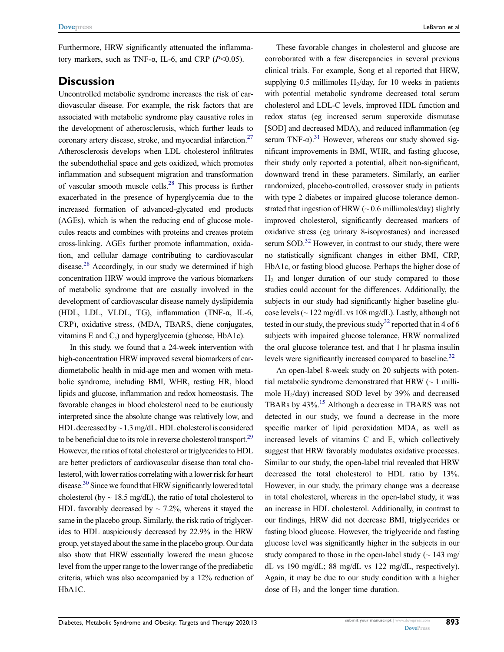Furthermore, HRW significantly attenuated the inflammatory markers, such as TNF-α, IL-6, and CRP ( $P$ <0.05).

#### **Discussion**

<span id="page-4-0"></span>Uncontrolled metabolic syndrome increases the risk of cardiovascular disease. For example, the risk factors that are associated with metabolic syndrome play causative roles in the development of atherosclerosis, which further leads to coronary artery disease, stroke, and myocardial infarction.<sup>27</sup> Atherosclerosis develops when LDL cholesterol infiltrates the subendothelial space and gets oxidized, which promotes inflammation and subsequent migration and transformation of vascular smooth muscle cells.[28](#page-6-27) This process is further exacerbated in the presence of hyperglycemia due to the increased formation of advanced-glycated end products (AGEs), which is when the reducing end of glucose molecules reacts and combines with proteins and creates protein cross-linking. AGEs further promote inflammation, oxidation, and cellular damage contributing to cardiovascular disease.<sup>[28](#page-6-27)</sup> Accordingly, in our study we determined if high concentration HRW would improve the various biomarkers of metabolic syndrome that are casually involved in the development of cardiovascular disease namely dyslipidemia (HDL, LDL, VLDL, TG), inflammation (TNF-α, IL-6, CRP), oxidative stress, (MDA, TBARS, diene conjugates, vitamins E and C,) and hyperglycemia (glucose, HbA1c).

<span id="page-4-3"></span><span id="page-4-2"></span><span id="page-4-1"></span>In this study, we found that a 24-week intervention with high-concentration HRW improved several biomarkers of cardiometabolic health in mid-age men and women with metabolic syndrome, including BMI, WHR, resting HR, blood lipids and glucose, inflammation and redox homeostasis. The favorable changes in blood cholesterol need to be cautiously interpreted since the absolute change was relatively low, and HDL decreased by  $\sim$  1.3 mg/dL. HDL cholesterol is considered to be beneficial due to its role in reverse cholesterol transport.<sup>29</sup> However, the ratios of total cholesterol or triglycerides to HDL are better predictors of cardiovascular disease than total cholesterol, with lower ratios correlating with a lower risk for heart disease.[30](#page-6-29) Since we found that HRW significantly lowered total cholesterol (by  $\sim$  18.5 mg/dL), the ratio of total cholesterol to HDL favorably decreased by  $\sim$  7.2%, whereas it stayed the same in the placebo group. Similarly, the risk ratio of triglycerides to HDL auspiciously decreased by 22.9% in the HRW group, yet stayed about the same in the placebo group. Our data also show that HRW essentially lowered the mean glucose level from the upper range to the lower range of the prediabetic criteria, which was also accompanied by a 12% reduction of HbA1C.

<span id="page-4-4"></span>These favorable changes in cholesterol and glucose are corroborated with a few discrepancies in several previous clinical trials. For example, Song et al reported that HRW, supplying 0.5 millimoles  $H_2$ /day, for 10 weeks in patients with potential metabolic syndrome decreased total serum cholesterol and LDL-C levels, improved HDL function and redox status (eg increased serum superoxide dismutase [SOD] and decreased MDA), and reduced inflammation (eg serum TNF- $\alpha$ ).<sup>[31](#page-6-30)</sup> However, whereas our study showed significant improvements in BMI, WHR, and fasting glucose, their study only reported a potential, albeit non-significant, downward trend in these parameters. Similarly, an earlier randomized, placebo-controlled, crossover study in patients with type 2 diabetes or impaired glucose tolerance demonstrated that ingestion of HRW ( $\sim 0.6$  millimoles/day) slightly improved cholesterol, significantly decreased markers of oxidative stress (eg urinary 8-isoprostanes) and increased serum  $SOD$ <sup>32</sup> However, in contrast to our study, there were no statistically significant changes in either BMI, CRP, HbA1c, or fasting blood glucose. Perhaps the higher dose of  $H<sub>2</sub>$  and longer duration of our study compared to those studies could account for the differences. Additionally, the subjects in our study had significantly higher baseline glucose levels ( $\sim$  122 mg/dL vs 108 mg/dL). Lastly, although not tested in our study, the previous study<sup>[32](#page-6-31)</sup> reported that in 4 of 6 subjects with impaired glucose tolerance, HRW normalized the oral glucose tolerance test, and that 1 hr plasma insulin levels were significantly increased compared to baseline.<sup>32</sup>

<span id="page-4-5"></span>An open-label 8-week study on 20 subjects with potential metabolic syndrome demonstrated that HRW  $(\sim 1 \text{ milli-}$ mole H2/day) increased SOD level by 39% and decreased TBARs by 43%[.15](#page-6-14) Although a decrease in TBARS was not detected in our study, we found a decrease in the more specific marker of lipid peroxidation MDA, as well as increased levels of vitamins C and E, which collectively suggest that HRW favorably modulates oxidative processes. Similar to our study, the open-label trial revealed that HRW decreased the total cholesterol to HDL ratio by 13%. However, in our study, the primary change was a decrease in total cholesterol, whereas in the open-label study, it was an increase in HDL cholesterol. Additionally, in contrast to our findings, HRW did not decrease BMI, triglycerides or fasting blood glucose. However, the triglyceride and fasting glucose level was significantly higher in the subjects in our study compared to those in the open-label study  $($   $\sim$  143 mg/ dL vs 190 mg/dL; 88 mg/dL vs 122 mg/dL, respectively). Again, it may be due to our study condition with a higher dose of  $H_2$  and the longer time duration.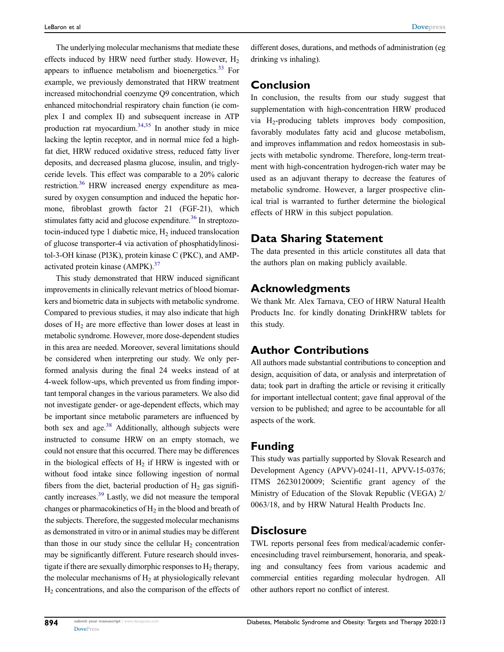<span id="page-5-1"></span><span id="page-5-0"></span>The underlying molecular mechanisms that mediate these effects induced by HRW need further study. However,  $H_2$ appears to influence metabolism and bioenergetics.<sup>33</sup> For example, we previously demonstrated that HRW treatment increased mitochondrial coenzyme Q9 concentration, which enhanced mitochondrial respiratory chain function (ie complex I and complex II) and subsequent increase in ATP production rat myocardium.<sup>34,[35](#page-6-34)</sup> In another study in mice lacking the leptin receptor, and in normal mice fed a highfat diet, HRW reduced oxidative stress, reduced fatty liver deposits, and decreased plasma glucose, insulin, and triglyceride levels. This effect was comparable to a 20% caloric restriction.<sup>[36](#page-6-35)</sup> HRW increased energy expenditure as measured by oxygen consumption and induced the hepatic hormone, fibroblast growth factor 21 (FGF-21), which stimulates fatty acid and glucose expenditure.<sup>[36](#page-6-35)</sup> In streptozotocin-induced type 1 diabetic mice,  $H<sub>2</sub>$  induced translocation of glucose transporter-4 via activation of phosphatidylinositol-3-OH kinase (PI3K), protein kinase C (PKC), and AMPactivated protein kinase (AMPK).<sup>37</sup>

<span id="page-5-4"></span><span id="page-5-3"></span><span id="page-5-2"></span>This study demonstrated that HRW induced significant improvements in clinically relevant metrics of blood biomarkers and biometric data in subjects with metabolic syndrome. Compared to previous studies, it may also indicate that high doses of  $H_2$  are more effective than lower doses at least in metabolic syndrome. However, more dose-dependent studies in this area are needed. Moreover, several limitations should be considered when interpreting our study. We only performed analysis during the final 24 weeks instead of at 4-week follow-ups, which prevented us from finding important temporal changes in the various parameters. We also did not investigate gender- or age-dependent effects, which may be important since metabolic parameters are influenced by both sex and age. $38$  Additionally, although subjects were instructed to consume HRW on an empty stomach, we could not ensure that this occurred. There may be differences in the biological effects of  $H<sub>2</sub>$  if HRW is ingested with or without food intake since following ingestion of normal fibers from the diet, bacterial production of  $H_2$  gas significantly increases.<sup>39</sup> Lastly, we did not measure the temporal changes or pharmacokinetics of  $H_2$  in the blood and breath of the subjects. Therefore, the suggested molecular mechanisms as demonstrated in vitro or in animal studies may be different than those in our study since the cellular  $H_2$  concentration may be significantly different. Future research should investigate if there are sexually dimorphic responses to  $H_2$  therapy, the molecular mechanisms of  $H_2$  at physiologically relevant H2 concentrations, and also the comparison of the effects of

different doses, durations, and methods of administration (eg drinking vs inhaling).

# Conclusion

In conclusion, the results from our study suggest that supplementation with high-concentration HRW produced via  $H_2$ -producing tablets improves body composition, favorably modulates fatty acid and glucose metabolism, and improves inflammation and redox homeostasis in subjects with metabolic syndrome. Therefore, long-term treatment with high-concentration hydrogen-rich water may be used as an adjuvant therapy to decrease the features of metabolic syndrome. However, a larger prospective clinical trial is warranted to further determine the biological effects of HRW in this subject population.

# Data Sharing Statement

The data presented in this article constitutes all data that the authors plan on making publicly available.

# Acknowledgments

We thank Mr. Alex Tarnava, CEO of HRW Natural Health Products Inc. for kindly donating DrinkHRW tablets for this study.

# Author Contributions

All authors made substantial contributions to conception and design, acquisition of data, or analysis and interpretation of data; took part in drafting the article or revising it critically for important intellectual content; gave final approval of the version to be published; and agree to be accountable for all aspects of the work.

# Funding

<span id="page-5-5"></span>This study was partially supported by Slovak Research and Development Agency (APVV)-0241-11, APVV-15-0376; ITMS 26230120009; Scientific grant agency of the Ministry of Education of the Slovak Republic (VEGA) 2/ 0063/18, and by HRW Natural Health Products Inc.

### **Disclosure**

TWL reports personal fees from medical/academic conferencesincluding travel reimbursement, honoraria, and speaking and consultancy fees from various academic and commercial entities regarding molecular hydrogen. All other authors report no conflict of interest.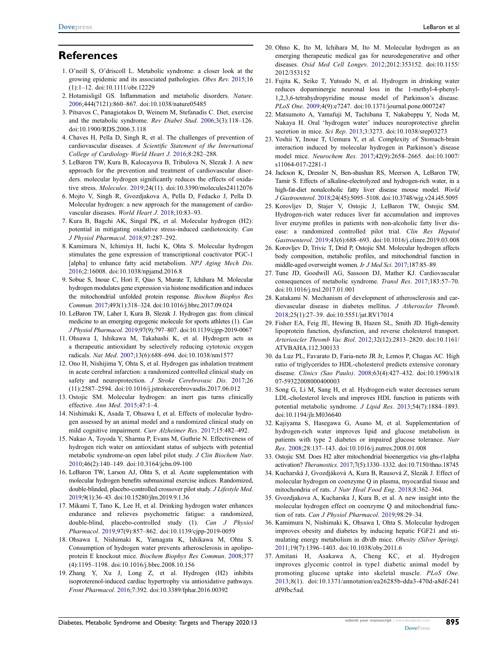#### **References**

- <span id="page-6-0"></span>1. O'neill S, O'driscoll L. Metabolic syndrome: a closer look at the growing epidemic and its associated pathologies. Obes Rev. [2015](#page-0-10);16 (1):1–12. doi:[10.1111/obr.12229](https://doi.org/10.1111/obr.12229)
- <span id="page-6-1"></span>2. Hotamisligil GS. Inflammation and metabolic disorders. Nature. [2006;](#page-0-11)444(7121):860–867. doi:[10.1038/nature05485](https://doi.org/10.1038/nature05485)
- <span id="page-6-2"></span>3. Pitsavos C, Panagiotakos D, Weinem M, Stefanadis C. Diet, exercise and the metabolic syndrome. Rev Diabet Stud. [2006](#page-1-0);3(3):118–126. doi:[10.1900/RDS.2006.3.118](https://doi.org/10.1900/RDS.2006.3.118)
- <span id="page-6-3"></span>4. Chaves H, Pella D, Singh R, et al. The challenges of prevention of cardiovascular diseases. A Scientific Statement of the International College of Cardiology World Heart J. [2016](#page-1-1);8:282–288.
- <span id="page-6-4"></span>5. LeBaron TW, Kura B, Kalocayova B, Tribulova N, Slezak J. A new approach for the prevention and treatment of cardiovascular disorders. molecular hydrogen significantly reduces the effects of oxidative stress. Molecules. [2019](#page-1-2);24(11). doi:[10.3390/molecules24112076](https://doi.org/10.3390/molecules24112076)
- <span id="page-6-5"></span>6. Mojto V, Singh R, Gvozdjakova A, Pella D, Fedacko J, Pella D. Molecular hydrogen: a new approach for the management of cardiovascular diseases. World Heart J. [2018](#page-1-3);10:83–93.
- <span id="page-6-6"></span>7. Kura B, Bagchi AK, Singal PK, et al. Molecular hydrogen (H2): potential in mitigating oxidative stress-induced cardiotoxicity. Can J Physiol Pharmacol. [2018;](#page-1-4)97:287–292.
- <span id="page-6-7"></span>8. Kamimura N, Ichimiya H, Iuchi K, Ohta S. Molecular hydrogen stimulates the gene expression of transcriptional coactivator PGC-1 [alpha] to enhance fatty acid metabolism. NPJ Aging Mech Dis. [2016;](#page-1-5)2:16008. doi:[10.1038/npjamd.2016.8](https://doi.org/10.1038/npjamd.2016.8)
- <span id="page-6-8"></span>9. Sobue S, Inoue C, Hori F, Qiao S, Murate T, Ichihara M. Molecular hydrogen modulates gene expression via histone modification and induces the mitochondrial unfolded protein response. Biochem Biophys Res Commun. [2017;](#page-1-6)493(1):318–324. doi:[10.1016/j.bbrc.2017.09.024](https://doi.org/10.1016/j.bbrc.2017.09.024)
- <span id="page-6-9"></span>10. LeBaron TW, Laher I, Kura B, Slezak J. Hydrogen gas: from clinical medicine to an emerging ergogenic molecule for sports athletes (1). Can J Physiol Pharmacol. [2019](#page-1-7);97(9):797–807. doi:[10.1139/cjpp-2019-0067](https://doi.org/10.1139/cjpp-2019-0067)
- <span id="page-6-10"></span>11. Ohsawa I, Ishikawa M, Takahashi K, et al. Hydrogen acts as a therapeutic antioxidant by selectively reducing cytotoxic oxygen radicals. Nat Med. [2007](#page-1-8);13(6):688–694. doi:[10.1038/nm1577](https://doi.org/10.1038/nm1577)
- <span id="page-6-11"></span>12. Ono H, Nishijima Y, Ohta S, et al. Hydrogen gas inhalation treatment in acute cerebral infarction: a randomized controlled clinical study on safety and neuroprotection. J Stroke Cerebrovasc Dis. [2017](#page-1-9);26 (11):2587–2594. doi:[10.1016/j.jstrokecerebrovasdis.2017.06.012](https://doi.org/10.1016/j.jstrokecerebrovasdis.2017.06.012)
- <span id="page-6-12"></span>13. Ostojic SM. Molecular hydrogen: an inert gas turns clinically effective. Ann Med. [2015;](#page-1-10)47:1–4.
- <span id="page-6-13"></span>14. Nishimaki K, Asada T, Ohsawa I, et al. Effects of molecular hydrogen assessed by an animal model and a randomized clinical study on mild cognitive impairment. Curr Alzheimer Res. [2017](#page-1-11);15:482–492.
- <span id="page-6-14"></span>15. Nakao A, Toyoda Y, Sharma P, Evans M, Guthrie N. Effectiveness of hydrogen rich water on antioxidant status of subjects with potential metabolic syndrome-an open label pilot study. J Clin Biochem Nutr. [2010;](#page-1-11)46(2):140–149. doi:[10.3164/jcbn.09-100](https://doi.org/10.3164/jcbn.09-100)
- <span id="page-6-15"></span>16. LeBaron TW, Larson AJ, Ohta S, et al. Acute supplementation with molecular hydrogen benefits submaximal exercise indices. Randomized, double-blinded, placebo-controlled crossover pilot study. J Lifestyle Med. [2019](#page-1-12);9(1):36–43. doi:[10.15280/jlm.2019.9.1.36](https://doi.org/10.15280/jlm.2019.9.1.36)
- <span id="page-6-16"></span>17. Mikami T, Tano K, Lee H, et al. Drinking hydrogen water enhances endurance and relieves psychometric fatigue: a randomized, double-blind, placebo-controlled study (1). Can J Physiol Pharmacol. [2019;](#page-1-12)97(9):857–862. doi:[10.1139/cjpp-2019-0059](https://doi.org/10.1139/cjpp-2019-0059)
- <span id="page-6-17"></span>18. Ohsawa I, Nishimaki K, Yamagata K, Ishikawa M, Ohta S. Consumption of hydrogen water prevents atherosclerosis in apolipoprotein E knockout mice. Biochem Biophys Res Commun. [2008](#page-1-13);377 (4):1195–1198. doi:[10.1016/j.bbrc.2008.10.156](https://doi.org/10.1016/j.bbrc.2008.10.156)
- <span id="page-6-18"></span>19. Zhang Y, Xu J, Long Z, et al. Hydrogen (H2) inhibits isoproterenol-induced cardiac hypertrophy via antioxidative pathways. Front Pharmacol. [2016](#page-1-14);7:392. doi:[10.3389/fphar.2016.00392](https://doi.org/10.3389/fphar.2016.00392)
- <span id="page-6-19"></span>20. Ohno K, Ito M, Ichihara M, Ito M. Molecular hydrogen as an emerging therapeutic medical gas for neurodegenerative and other diseases. Oxid Med Cell Longev. [2012](#page-1-15);2012:353152. doi:[10.1155/](https://doi.org/10.1155/2012/353152) [2012/353152](https://doi.org/10.1155/2012/353152)
- <span id="page-6-20"></span>21. Fujita K, Seike T, Yutsudo N, et al. Hydrogen in drinking water reduces dopaminergic neuronal loss in the 1-methyl-4-phenyl-1,2,3,6-tetrahydropyridine mouse model of Parkinson's disease. PLoS One. [2009](#page-1-16);4(9):e7247. doi:[10.1371/journal.pone.0007247](https://doi.org/10.1371/journal.pone.0007247)
- <span id="page-6-21"></span>22. Matsumoto A, Yamafuji M, Tachibana T, Nakabeppu Y, Noda M, Nakaya H. Oral 'hydrogen water' induces neuroprotective ghrelin secretion in mice. Sci Rep. [2013](#page-1-17);3:3273. doi:[10.1038/srep03273](https://doi.org/10.1038/srep03273)
- <span id="page-6-22"></span>23. Yoshii Y, Inoue T, Uemura Y, et al. Complexity of Stomach-brain interaction induced by molecular hydrogen in Parkinson's disease model mice. Neurochem Res. [2017;](#page-1-18)42(9):2658–2665. doi:[10.1007/](https://doi.org/10.1007/s11064-017-2281-1) [s11064-017-2281-1](https://doi.org/10.1007/s11064-017-2281-1)
- <span id="page-6-23"></span>24. Jackson K, Dressler N, Ben-shushan RS, Meerson A, LeBaron TW, Tamir S. Effects of alkaline-electrolyzed and hydrogen-rich water, in a high-fat-diet nonalcoholic fatty liver disease mouse model. World J Gastroenterol. [2018](#page-1-19);24(45):5095–5108. doi:[10.3748/wjg.v24.i45.5095](https://doi.org/10.3748/wjg.v24.i45.5095)
- <span id="page-6-24"></span>25. Korovljev D, Stajer V, Ostojic J, LeBaron TW, Ostojic SM. Hydrogen-rich water reduces liver fat accumulation and improves liver enzyme profiles in patients with non-alcoholic fatty liver disease: a randomized controlled pilot trial. Clin Res Hepatol Gastroenterol. [2019](#page-1-20);43(6):688–693. doi:[10.1016/j.clinre.2019.03.008](https://doi.org/10.1016/j.clinre.2019.03.008)
- <span id="page-6-25"></span>26. Korovljev D, Trivic T, Drid P, Ostojic SM. Molecular hydrogen affects body composition, metabolic profiles, and mitochondrial function in middle-aged overweight women. Ir J Med Sci. [2017;](#page-1-21)187:85–89.
- <span id="page-6-26"></span>27. Tune JD, Goodwill AG, Sassoon DJ, Mather KJ. Cardiovascular consequences of metabolic syndrome. Transl Res. [2017](#page-4-0);183:57–70. doi:[10.1016/j.trsl.2017.01.001](https://doi.org/10.1016/j.trsl.2017.01.001)
- <span id="page-6-27"></span>28. Katakami N. Mechanism of development of atherosclerosis and cardiovascular disease in diabetes mellitus. J Atheroscler Thromb. [2018](#page-4-1);25(1):27–39. doi:[10.5551/jat.RV17014](https://doi.org/10.5551/jat.RV17014)
- <span id="page-6-28"></span>29. Fisher EA, Feig JE, Hewing B, Hazen SL, Smith JD. High-density lipoprotein function, dysfunction, and reverse cholesterol transport. Arterioscler Thromb Vac Biol. [2012;](#page-4-2)32(12):2813–2820. doi:[10.1161/](https://doi.org/10.1161/ATVBAHA.112.300133) [ATVBAHA.112.300133](https://doi.org/10.1161/ATVBAHA.112.300133)
- <span id="page-6-29"></span>30. da Luz PL, Favarato D, Faria-neto JR Jr, Lemos P, Chagas AC. High ratio of triglycerides to HDL-cholesterol predicts extensive coronary disease. Clinics (Sao Paulo). [2008](#page-4-3);63(4):427–432. doi:[10.1590/s18](https://doi.org/10.1590/s1807-59322008000400003) [07-59322008000400003](https://doi.org/10.1590/s1807-59322008000400003)
- <span id="page-6-30"></span>31. Song G, Li M, Sang H, et al. Hydrogen-rich water decreases serum LDL-cholesterol levels and improves HDL function in patients with potential metabolic syndrome. J Lipid Res. [2013;](#page-4-4)54(7):1884–1893. doi:[10.1194/jlr.M036640](https://doi.org/10.1194/jlr.M036640)
- <span id="page-6-31"></span>32. Kajiyama S, Hasegawa G, Asano M, et al. Supplementation of hydrogen-rich water improves lipid and glucose metabolism in patients with type 2 diabetes or impaired glucose tolerance. Nutr Res. [2008;](#page-4-5)28:137–143. doi:[10.1016/j.nutres.2008.01.008](https://doi.org/10.1016/j.nutres.2008.01.008)
- <span id="page-6-32"></span>33. Ostojic SM. Does H2 alter mitochondrial bioenergetics via ghs-r1alpha activation? Theranostics. [2017;](#page-5-0)7(5):1330–1332. doi:[10.7150/thno.18745](https://doi.org/10.7150/thno.18745)
- <span id="page-6-33"></span>34. Kucharská J, Gvozdjáková A, Kura B, Rausová Z, Slezák J. Effect of molecular hydrogen on coenzyme Q in plasma, myocardial tissue and mitochondria of rats. J Nutr Heal Food Eng. [2018;](#page-5-1)8:362–364.
- <span id="page-6-34"></span>35. Gvozdjakova A, Kucharska J, Kura B, et al. A new insight into the molecular hydrogen effect on coenzyme Q and mitochondrial function of rats. Can J Physiol Pharmacol. [2019;](#page-5-1)98:29–34.
- <span id="page-6-35"></span>36. Kamimura N, Nishimaki K, Ohsawa I, Ohta S. Molecular hydrogen improves obesity and diabetes by inducing hepatic FGF21 and stimulating energy metabolism in db/db mice. Obesity (Silver Spring). [2011](#page-5-2);19(7):1396–1403. doi:[10.1038/oby.2011.6](https://doi.org/10.1038/oby.2011.6)
- <span id="page-6-36"></span>37. Amitani H, Asakawa A, Cheng KC, et al. Hydrogen improves glycemic control in type1 diabetic animal model by promoting glucose uptake into skeletal muscle. PLoS One. [2013](#page-5-3);8(1). doi:[10.1371/annotation/ea26285b-dda3-470d-a8df-241](https://doi.org/10.1371/annotation/ea26285b-dda3-470d-a8df-241df9fbc5ad) [df9fbc5ad](https://doi.org/10.1371/annotation/ea26285b-dda3-470d-a8df-241df9fbc5ad).